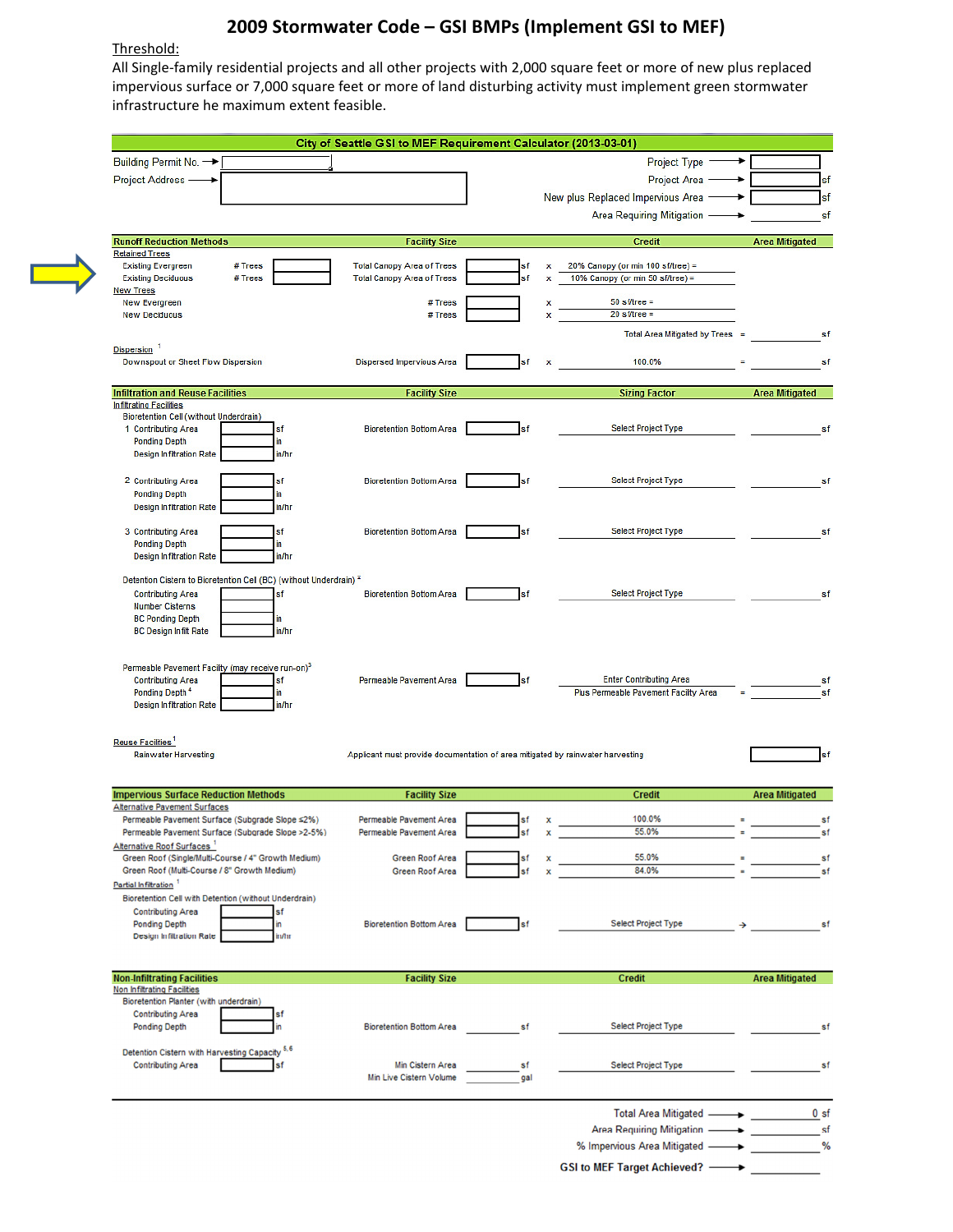## 2009 Stormwater Code – GSI BMPs (Implement GSI to MEF)

## Threshold:

All Single-family residential projects and all other projects with 2,000 square feet or more of new plus replaced impervious surface or 7,000 square feet or more of land disturbing activity must implement green stormwater infrastructure he maximum extent feasible.

|                                                                                     |             | City of Seattle GSI to MEF Requirement Calculator (2013-03-01)                 |           |             |                                       |                        |
|-------------------------------------------------------------------------------------|-------------|--------------------------------------------------------------------------------|-----------|-------------|---------------------------------------|------------------------|
| Building Permit No. -                                                               |             |                                                                                |           |             | Project Type -                        |                        |
| Project Address -                                                                   |             |                                                                                |           |             | Project Area -                        |                        |
|                                                                                     |             |                                                                                |           |             | New plus Replaced Impervious Area -   |                        |
|                                                                                     |             |                                                                                |           |             | Area Requiring Mitigation -           |                        |
|                                                                                     |             |                                                                                |           |             |                                       |                        |
| <b>Runoff Reduction Methods</b><br><b>Retained Trees</b>                            |             | <b>Facility Size</b>                                                           |           |             | Credit                                | <b>Area Mitigated</b>  |
| <b>Existing Evergreen</b>                                                           | # Trees     | <b>Total Canopy Area of Trees</b>                                              | sf        | $\mathbf x$ | 20% Canopy (or min 100 sf/tree) =     |                        |
| <b>Existing Deciduous</b>                                                           | # Trees     | <b>Total Canopy Area of Trees</b>                                              | sf        | ×           | 10% Canopy (or min 50 sf/tree) =      |                        |
| <b>New Trees</b><br>New Evergreen                                                   |             | # Trees                                                                        |           | x           | $50$ sf/tree =                        |                        |
| <b>New Deciduous</b>                                                                |             | # Trees                                                                        |           | $\mathbf x$ | $20$ sf/tree =                        |                        |
|                                                                                     |             |                                                                                |           |             | Total Area Mitigated by Trees =       |                        |
| Dispersion <sup>1</sup>                                                             |             |                                                                                |           |             |                                       |                        |
| Downspout or Sheet Flow Dispersion                                                  |             | Dispersed Impervious Area                                                      | sf        | x           | 100.0%                                |                        |
| <b>Infiltration and Reuse Facilities</b>                                            |             | <b>Facility Size</b>                                                           |           |             | <b>Sizing Factor</b>                  | <b>Area Mitigated</b>  |
| <b>Infiltrating Facilities</b>                                                      |             |                                                                                |           |             |                                       |                        |
| Bioretention Cell (without Underdrain)                                              |             |                                                                                |           |             |                                       |                        |
| 1 Contributing Area                                                                 | sf          | <b>Bioretention Bottom Area</b>                                                | sf        |             | <b>Select Project Type</b>            |                        |
| <b>Ponding Depth</b><br><b>Design Infiltration Rate</b>                             | in<br>in/hr |                                                                                |           |             |                                       |                        |
|                                                                                     |             |                                                                                |           |             |                                       |                        |
| 2 Contributing Area                                                                 | sf          | <b>Bioretention Bottom Area</b>                                                | sf        |             | Select Project Type                   |                        |
| <b>Ponding Depth</b>                                                                | in          |                                                                                |           |             |                                       |                        |
| <b>Design Infiltration Rate</b>                                                     | in/hr       |                                                                                |           |             |                                       |                        |
| 3 Contributing Area                                                                 | sf          | <b>Bioretention Bottom Area</b>                                                | sf        |             | <b>Select Project Type</b>            |                        |
| <b>Ponding Depth</b>                                                                | in.         |                                                                                |           |             |                                       |                        |
| Design Infiltration Rate                                                            | in/hr       |                                                                                |           |             |                                       |                        |
| Detention Cistern to Bioretention Cell (BC) (without Underdrain) <sup>2</sup>       |             |                                                                                |           |             |                                       |                        |
| <b>Contributing Area</b>                                                            | sf          | <b>Bioretention Bottom Area</b>                                                | sf        |             | <b>Select Project Type</b>            |                        |
| <b>Number Cisterns</b>                                                              |             |                                                                                |           |             |                                       |                        |
| <b>BC Ponding Depth</b>                                                             | in          |                                                                                |           |             |                                       |                        |
| <b>BC Design Infilt Rate</b>                                                        | in/hr       |                                                                                |           |             |                                       |                        |
|                                                                                     |             |                                                                                |           |             |                                       |                        |
| Permeable Pavement Facility (may receive run-on) <sup>3</sup>                       |             |                                                                                |           |             |                                       |                        |
| <b>Contributing Area</b>                                                            | sf          | Permeable Pavement Area                                                        | sf        |             | <b>Enter Contributing Area</b>        |                        |
| Ponding Depth <sup>4</sup>                                                          | in.         |                                                                                |           |             | Plus Permeable Pavement Facility Area |                        |
| <b>Design Infiltration Rate</b>                                                     | in/hr       |                                                                                |           |             |                                       |                        |
|                                                                                     |             |                                                                                |           |             |                                       |                        |
| Reuse Facilities <sup>1</sup>                                                       |             |                                                                                |           |             |                                       |                        |
| Rainwater Harvesting                                                                |             | Applicant must provide documentation of area mitigated by rainwater harvesting |           |             |                                       |                        |
|                                                                                     |             |                                                                                |           |             |                                       |                        |
| <b>Impervious Surface Reduction Methods</b><br><b>Alternative Pavement Surfaces</b> |             | <b>Facility Size</b>                                                           |           |             | <b>Credit</b>                         | <b>Area Mitigated</b>  |
| Permeable Pavement Surface (Subgrade Slope ≤2%)                                     |             | Permeable Pavement Area                                                        | sf        | x           | 100.0%                                |                        |
| Permeable Pavement Surface (Subgrade Slope > 2-5%)                                  |             | Permeable Pavement Area                                                        |           |             | 55.0%                                 |                        |
| Alternative Roof Surfaces <sup>1</sup>                                              |             |                                                                                |           |             |                                       |                        |
| Green Roof (Single/Multi-Course / 4" Growth Medium)                                 |             | Green Roof Area                                                                | sf        | x           | 55.0%<br>84.0%                        |                        |
| Green Roof (Multi-Course / 8" Growth Medium)<br>Partial Infiltration <sup>1</sup>   |             | Green Roof Area                                                                |           | $\mathbf x$ |                                       |                        |
| Bioretention Cell with Detention (without Underdrain)                               |             |                                                                                |           |             |                                       |                        |
| <b>Contributing Area</b>                                                            | sf          |                                                                                |           |             |                                       |                        |
| <b>Ponding Depth</b>                                                                | in          | <b>Bioretention Bottom Area</b>                                                | sf        |             | <b>Select Project Type</b>            |                        |
| Design Infiltration Rate                                                            | in/hr       |                                                                                |           |             |                                       |                        |
|                                                                                     |             |                                                                                |           |             |                                       |                        |
| <b>Non-Infiltrating Facilities</b>                                                  |             | <b>Facility Size</b>                                                           |           |             | <b>Credit</b>                         | <b>Area Mitigated</b>  |
| <b>Non Infiltrating Facilities</b>                                                  |             |                                                                                |           |             |                                       |                        |
| Bioretention Planter (with underdrain)                                              |             |                                                                                |           |             |                                       |                        |
| <b>Contributing Area</b><br><b>Ponding Depth</b>                                    | sf<br>in    | <b>Bioretention Bottom Area</b>                                                | <b>sf</b> |             | <b>Select Project Type</b>            |                        |
|                                                                                     |             |                                                                                |           |             |                                       |                        |
| Detention Cistern with Harvesting Capacity 5.6                                      |             |                                                                                |           |             |                                       |                        |
| <b>Contributing Area</b>                                                            |             | Min Cistern Area                                                               | sf        |             | Select Project Type                   |                        |
|                                                                                     |             | Min Live Cistern Volume                                                        | gal       |             |                                       |                        |
|                                                                                     |             |                                                                                |           |             |                                       |                        |
|                                                                                     |             |                                                                                |           |             | Total Area Mitigated - >              | 0 <sub>sf</sub>        |
|                                                                                     |             |                                                                                |           |             |                                       |                        |
|                                                                                     |             |                                                                                |           |             | % Impervious Area Mitigated -         | $\rightarrow$ $\qquad$ |
|                                                                                     |             |                                                                                |           |             |                                       |                        |

GSI to MEF Target Achieved? -- >